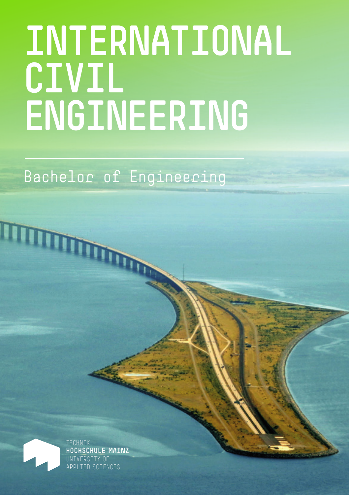# **INTERNATIONAL CIVIL ENGINEERING**

Bachelor of Engineering



TECHNIK **HOCHSCHULE MAINZ** UNIVERSITY OF TED SCIENCES